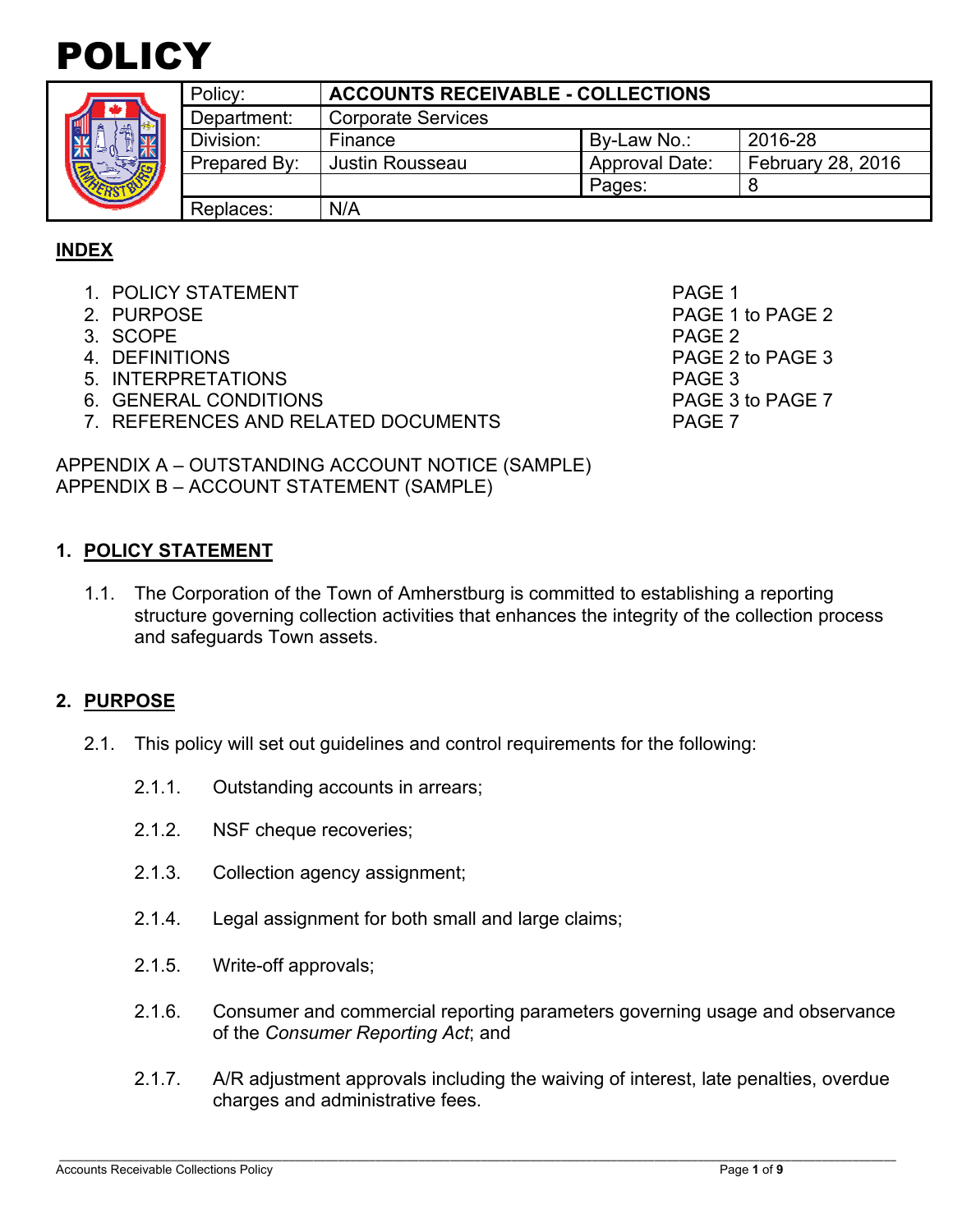



| Policy:      | <b>ACCOUNTS RECEIVABLE - COLLECTIONS</b> |                       |                   |
|--------------|------------------------------------------|-----------------------|-------------------|
| Department:  | <b>Corporate Services</b>                |                       |                   |
| Division:    | Finance                                  | By-Law No.:           | 2016-28           |
| Prepared By: | Justin Rousseau                          | <b>Approval Date:</b> | February 28, 2016 |
|              |                                          | Pages:                |                   |
| Replaces:    | N/A                                      |                       |                   |

## **INDEX**

- 1. POLICY STATEMENT PAGE 1
- 
- 3. SCOPE PAGE 2
- 
- 5. INTERPRETATIONS PAGE 3
- 6. GENERAL CONDITIONS **PAGE 3 to PAGE 7**
- 7. REFERENCES AND RELATED DOCUMENTS PAGE 7

2. PURPOSE 2 4. DEFINITIONS PAGE 2 to PAGE 3

APPENDIX A – OUTSTANDING ACCOUNT NOTICE (SAMPLE) APPENDIX B – ACCOUNT STATEMENT (SAMPLE)

#### **1. POLICY STATEMENT**

1.1. The Corporation of the Town of Amherstburg is committed to establishing a reporting structure governing collection activities that enhances the integrity of the collection process and safeguards Town assets.

#### **2. PURPOSE**

- 2.1. This policy will set out guidelines and control requirements for the following:
	- 2.1.1. Outstanding accounts in arrears;
	- 2.1.2. NSF cheque recoveries;
	- 2.1.3. Collection agency assignment;
	- 2.1.4. Legal assignment for both small and large claims;
	- 2.1.5. Write-off approvals;
	- 2.1.6. Consumer and commercial reporting parameters governing usage and observance of the *Consumer Reporting Act*; and
	- 2.1.7. A/R adjustment approvals including the waiving of interest, late penalties, overdue charges and administrative fees.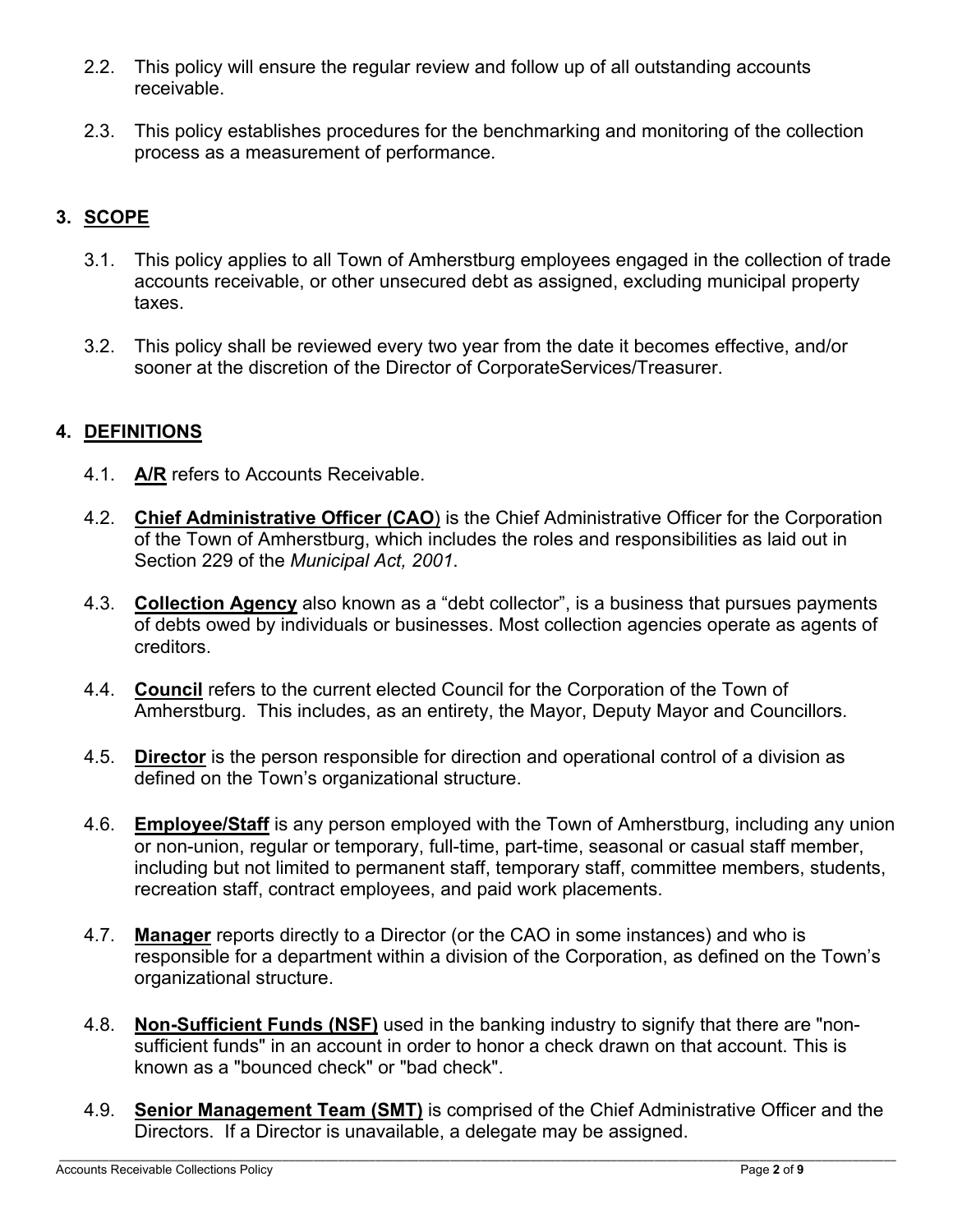- 2.2. This policy will ensure the regular review and follow up of all outstanding accounts receivable.
- 2.3. This policy establishes procedures for the benchmarking and monitoring of the collection process as a measurement of performance.

# **3. SCOPE**

- 3.1. This policy applies to all Town of Amherstburg employees engaged in the collection of trade accounts receivable, or other unsecured debt as assigned, excluding municipal property taxes.
- 3.2. This policy shall be reviewed every two year from the date it becomes effective, and/or sooner at the discretion of the Director of CorporateServices/Treasurer.

## **4. DEFINITIONS**

- 4.1. **A/R** refers to Accounts Receivable.
- 4.2. **Chief Administrative Officer (CAO**) is the Chief Administrative Officer for the Corporation of the Town of Amherstburg, which includes the roles and responsibilities as laid out in Section 229 of the *Municipal Act, 2001*.
- 4.3. **Collection Agency** also known as a "debt collector", is a business that pursues payments of debts owed by individuals or businesses. Most collection agencies operate as agents of creditors.
- 4.4. **Council** refers to the current elected Council for the Corporation of the Town of Amherstburg. This includes, as an entirety, the Mayor, Deputy Mayor and Councillors.
- 4.5. **Director** is the person responsible for direction and operational control of a division as defined on the Town's organizational structure.
- 4.6. **Employee/Staff** is any person employed with the Town of Amherstburg, including any union or non-union, regular or temporary, full-time, part-time, seasonal or casual staff member, including but not limited to permanent staff, temporary staff, committee members, students, recreation staff, contract employees, and paid work placements.
- 4.7. **Manager** reports directly to a Director (or the CAO in some instances) and who is responsible for a department within a division of the Corporation, as defined on the Town's organizational structure.
- 4.8. **Non-Sufficient Funds (NSF)** used in the banking industry to signify that there are "nonsufficient funds" in an account in order to honor a check drawn on that account. This is known as a "bounced check" or "bad check".
- 4.9. **Senior Management Team (SMT)** is comprised of the Chief Administrative Officer and the Directors. If a Director is unavailable, a delegate may be assigned.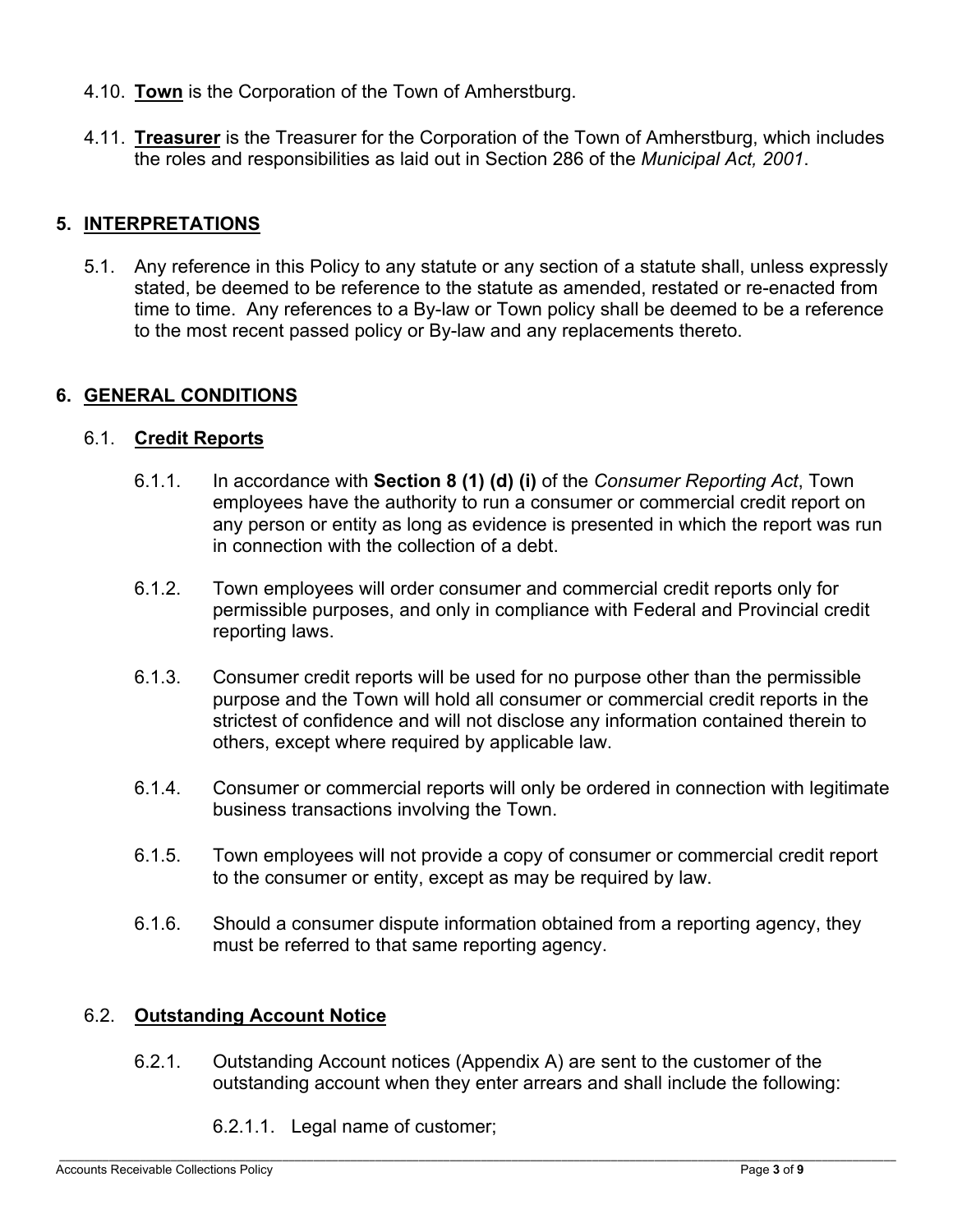- 4.10. **Town** is the Corporation of the Town of Amherstburg.
- 4.11. **Treasurer** is the Treasurer for the Corporation of the Town of Amherstburg, which includes the roles and responsibilities as laid out in Section 286 of the *Municipal Act, 2001*.

## **5. INTERPRETATIONS**

5.1. Any reference in this Policy to any statute or any section of a statute shall, unless expressly stated, be deemed to be reference to the statute as amended, restated or re-enacted from time to time. Any references to a By-law or Town policy shall be deemed to be a reference to the most recent passed policy or By-law and any replacements thereto.

#### **6. GENERAL CONDITIONS**

#### 6.1. **Credit Reports**

- 6.1.1. In accordance with **Section 8 (1) (d) (i)** of the *Consumer Reporting Act*, Town employees have the authority to run a consumer or commercial credit report on any person or entity as long as evidence is presented in which the report was run in connection with the collection of a debt.
- 6.1.2. Town employees will order consumer and commercial credit reports only for permissible purposes, and only in compliance with Federal and Provincial credit reporting laws.
- 6.1.3. Consumer credit reports will be used for no purpose other than the permissible purpose and the Town will hold all consumer or commercial credit reports in the strictest of confidence and will not disclose any information contained therein to others, except where required by applicable law.
- 6.1.4. Consumer or commercial reports will only be ordered in connection with legitimate business transactions involving the Town.
- 6.1.5. Town employees will not provide a copy of consumer or commercial credit report to the consumer or entity, except as may be required by law.
- 6.1.6. Should a consumer dispute information obtained from a reporting agency, they must be referred to that same reporting agency.

#### 6.2. **Outstanding Account Notice**

- 6.2.1. Outstanding Account notices (Appendix A) are sent to the customer of the outstanding account when they enter arrears and shall include the following:
	- 6.2.1.1. Legal name of customer;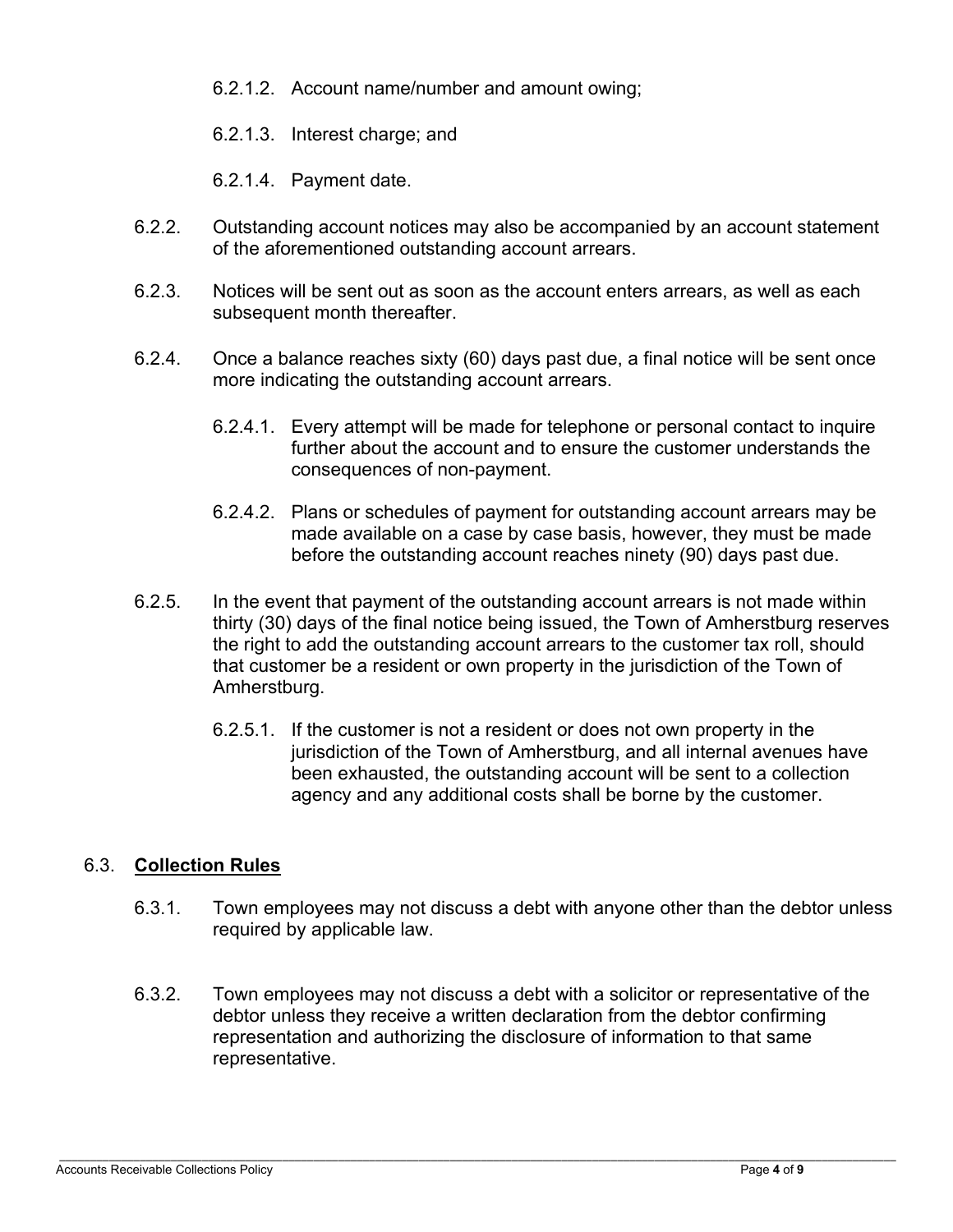- 6.2.1.2. Account name/number and amount owing;
- 6.2.1.3. Interest charge; and
- 6.2.1.4. Payment date.
- 6.2.2. Outstanding account notices may also be accompanied by an account statement of the aforementioned outstanding account arrears.
- 6.2.3. Notices will be sent out as soon as the account enters arrears, as well as each subsequent month thereafter.
- 6.2.4. Once a balance reaches sixty (60) days past due, a final notice will be sent once more indicating the outstanding account arrears.
	- 6.2.4.1. Every attempt will be made for telephone or personal contact to inquire further about the account and to ensure the customer understands the consequences of non-payment.
	- 6.2.4.2. Plans or schedules of payment for outstanding account arrears may be made available on a case by case basis, however, they must be made before the outstanding account reaches ninety (90) days past due.
- 6.2.5. In the event that payment of the outstanding account arrears is not made within thirty (30) days of the final notice being issued, the Town of Amherstburg reserves the right to add the outstanding account arrears to the customer tax roll, should that customer be a resident or own property in the jurisdiction of the Town of Amherstburg.
	- 6.2.5.1. If the customer is not a resident or does not own property in the jurisdiction of the Town of Amherstburg, and all internal avenues have been exhausted, the outstanding account will be sent to a collection agency and any additional costs shall be borne by the customer.

#### 6.3. **Collection Rules**

- 6.3.1. Town employees may not discuss a debt with anyone other than the debtor unless required by applicable law.
- 6.3.2. Town employees may not discuss a debt with a solicitor or representative of the debtor unless they receive a written declaration from the debtor confirming representation and authorizing the disclosure of information to that same representative.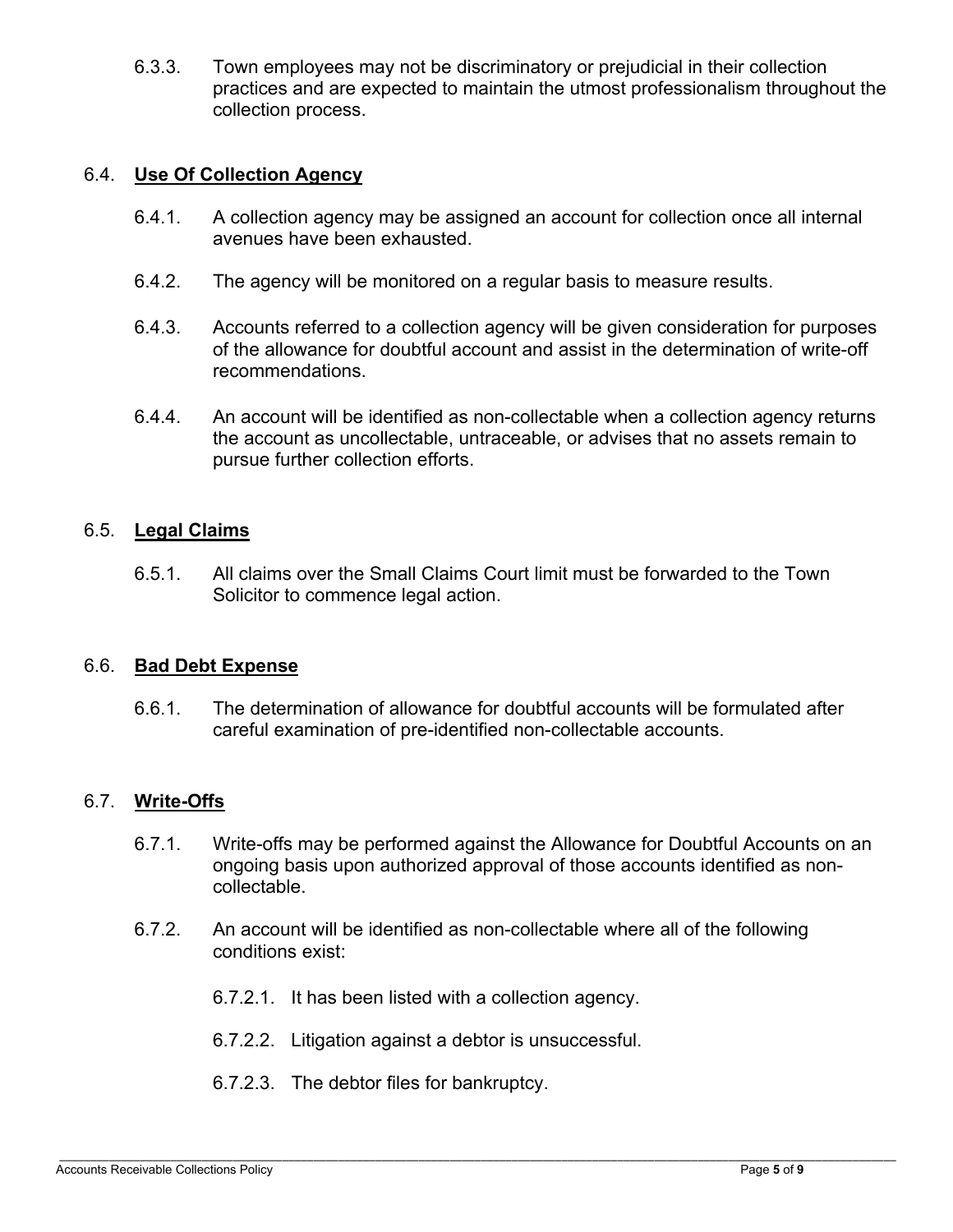6.3.3. Town employees may not be discriminatory or prejudicial in their collection practices and are expected to maintain the utmost professionalism throughout the collection process.

#### 6.4. **Use Of Collection Agency**

- 6.4.1. A collection agency may be assigned an account for collection once all internal avenues have been exhausted.
- 6.4.2. The agency will be monitored on a regular basis to measure results.
- 6.4.3. Accounts referred to a collection agency will be given consideration for purposes of the allowance for doubtful account and assist in the determination of write-off recommendations.
- 6.4.4. An account will be identified as non-collectable when a collection agency returns the account as uncollectable, untraceable, or advises that no assets remain to pursue further collection efforts.

#### 6.5. **Legal Claims**

6.5.1. All claims over the Small Claims Court limit must be forwarded to the Town Solicitor to commence legal action.

#### 6.6. **Bad Debt Expense**

6.6.1. The determination of allowance for doubtful accounts will be formulated after careful examination of pre-identified non-collectable accounts.

#### 6.7. **Write-Offs**

- 6.7.1. Write-offs may be performed against the Allowance for Doubtful Accounts on an ongoing basis upon authorized approval of those accounts identified as noncollectable.
- 6.7.2. An account will be identified as non-collectable where all of the following conditions exist:
	- 6.7.2.1. It has been listed with a collection agency.
	- 6.7.2.2. Litigation against a debtor is unsuccessful.
	- 6.7.2.3. The debtor files for bankruptcy.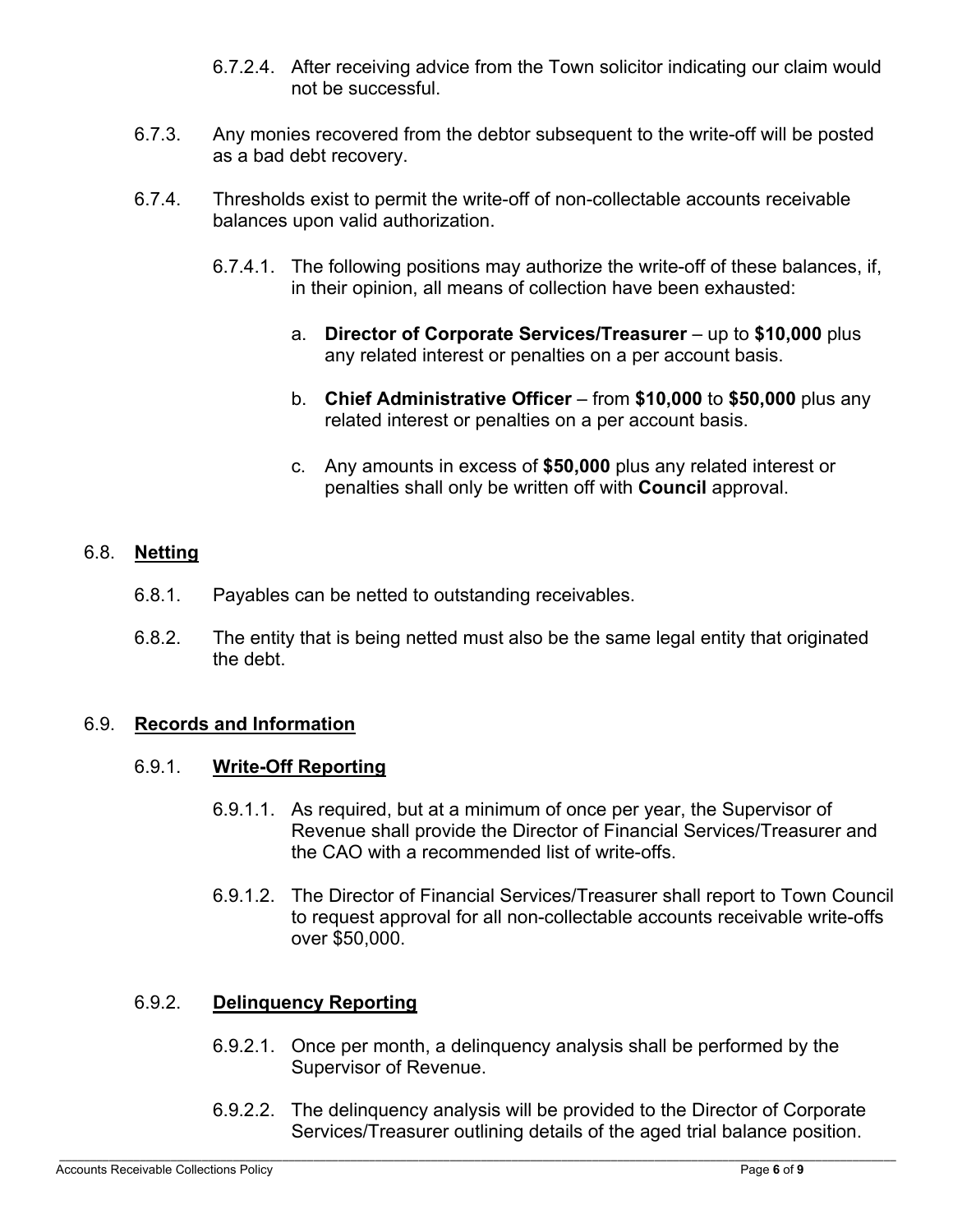- 6.7.2.4. After receiving advice from the Town solicitor indicating our claim would not be successful.
- 6.7.3. Any monies recovered from the debtor subsequent to the write-off will be posted as a bad debt recovery.
- 6.7.4. Thresholds exist to permit the write-off of non-collectable accounts receivable balances upon valid authorization.
	- 6.7.4.1. The following positions may authorize the write-off of these balances, if, in their opinion, all means of collection have been exhausted:
		- a. **Director of Corporate Services/Treasurer** up to **\$10,000** plus any related interest or penalties on a per account basis.
		- b. **Chief Administrative Officer** from **\$10,000** to **\$50,000** plus any related interest or penalties on a per account basis.
		- c. Any amounts in excess of **\$50,000** plus any related interest or penalties shall only be written off with **Council** approval.

#### 6.8. **Netting**

- 6.8.1. Payables can be netted to outstanding receivables.
- 6.8.2. The entity that is being netted must also be the same legal entity that originated the debt.

#### 6.9. **Records and Information**

#### 6.9.1. **Write-Off Reporting**

- 6.9.1.1. As required, but at a minimum of once per year, the Supervisor of Revenue shall provide the Director of Financial Services/Treasurer and the CAO with a recommended list of write-offs.
- 6.9.1.2. The Director of Financial Services/Treasurer shall report to Town Council to request approval for all non-collectable accounts receivable write-offs over \$50,000.

#### 6.9.2. **Delinquency Reporting**

- 6.9.2.1. Once per month, a delinquency analysis shall be performed by the Supervisor of Revenue.
- 6.9.2.2. The delinquency analysis will be provided to the Director of Corporate Services/Treasurer outlining details of the aged trial balance position.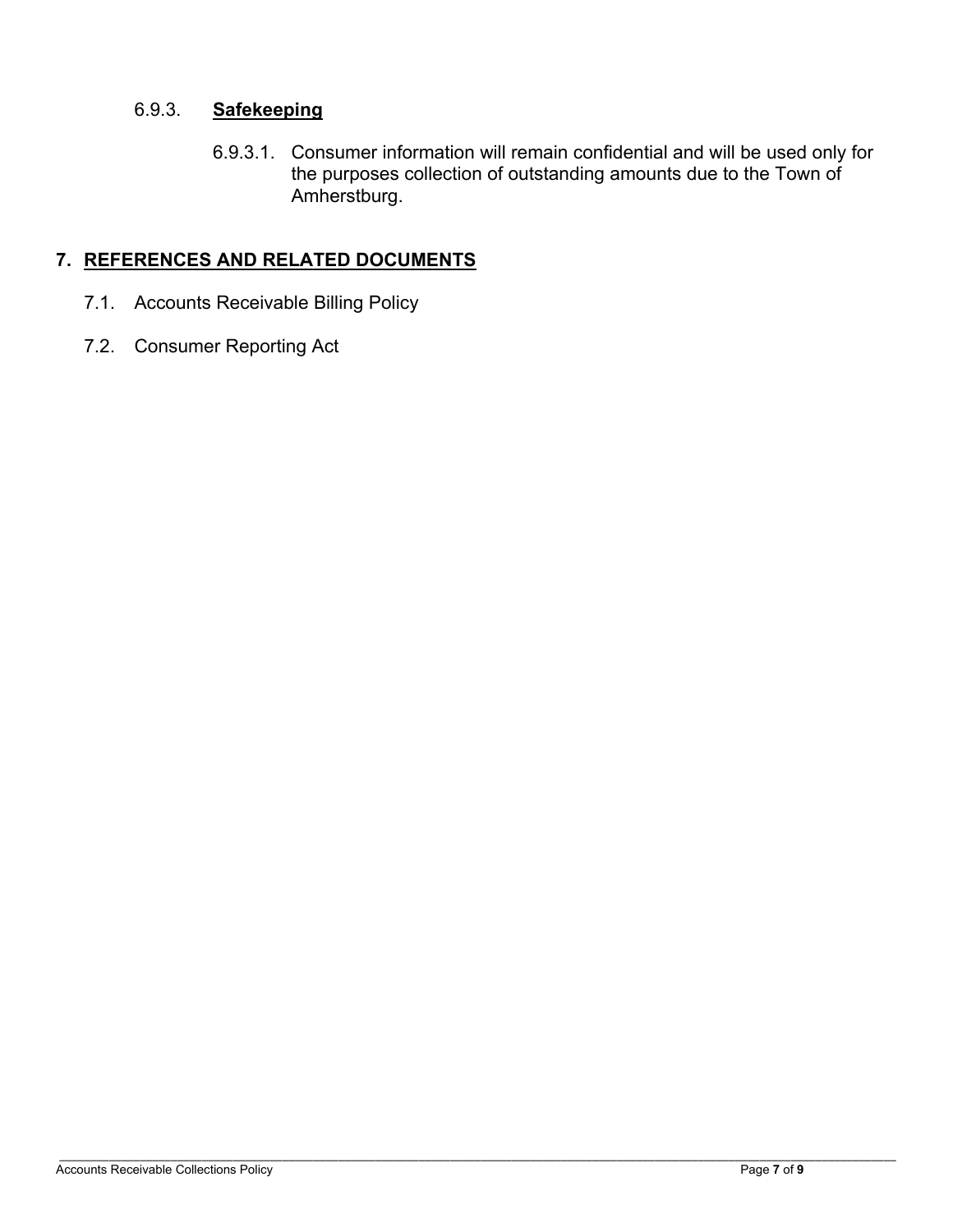# 6.9.3. **Safekeeping**

6.9.3.1. Consumer information will remain confidential and will be used only for the purposes collection of outstanding amounts due to the Town of Amherstburg.

# **7. REFERENCES AND RELATED DOCUMENTS**

- 7.1. Accounts Receivable Billing Policy
- 7.2. Consumer Reporting Act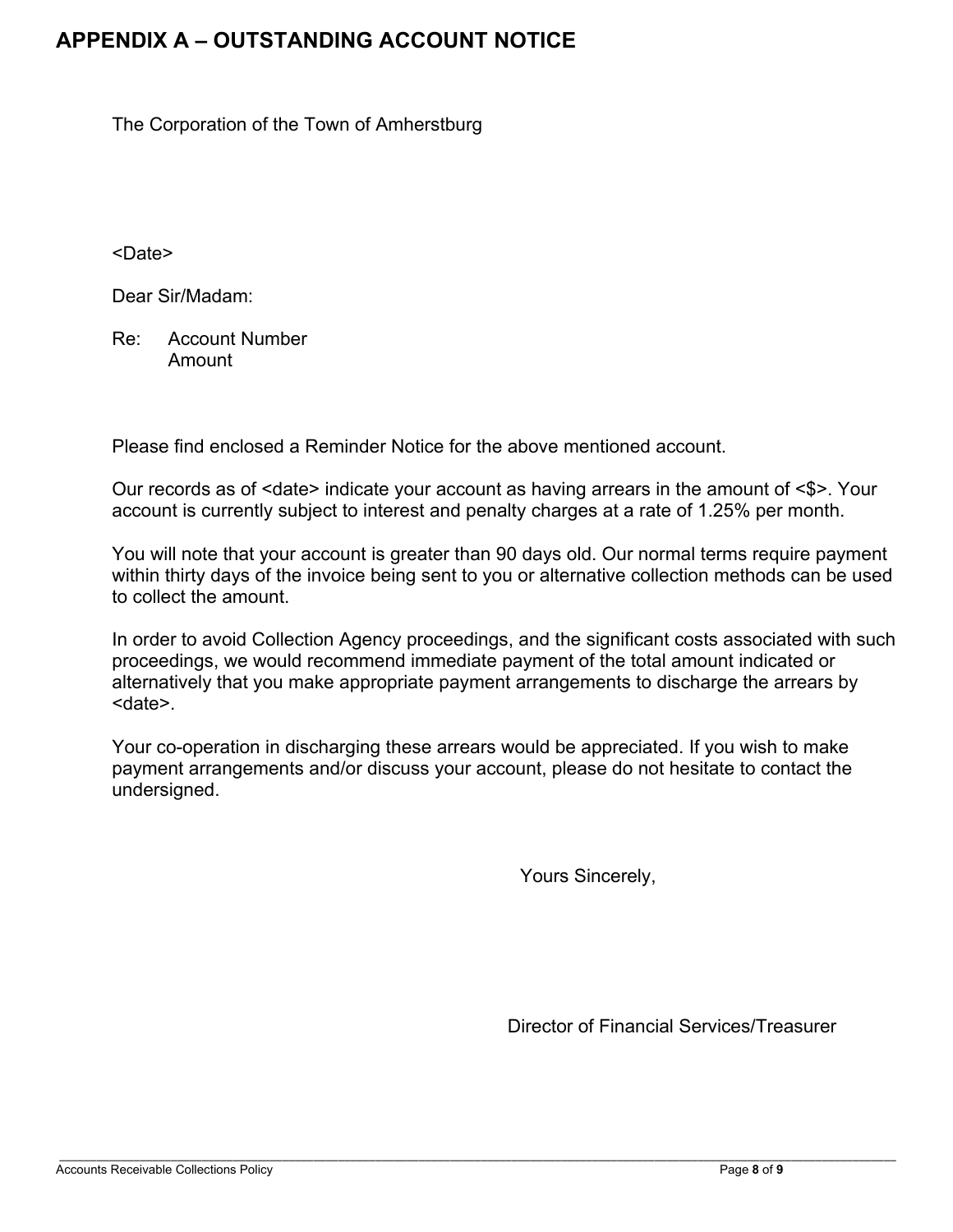# **APPENDIX A – OUTSTANDING ACCOUNT NOTICE**

The Corporation of the Town of Amherstburg

<Date>

Dear Sir/Madam:

 Re: Account Number Amount

Please find enclosed a Reminder Notice for the above mentioned account.

 Our records as of <date> indicate your account as having arrears in the amount of <\$>. Your account is currently subject to interest and penalty charges at a rate of 1.25% per month.

 You will note that your account is greater than 90 days old. Our normal terms require payment within thirty days of the invoice being sent to you or alternative collection methods can be used to collect the amount.

 In order to avoid Collection Agency proceedings, and the significant costs associated with such proceedings, we would recommend immediate payment of the total amount indicated or alternatively that you make appropriate payment arrangements to discharge the arrears by <date>.

 Your co-operation in discharging these arrears would be appreciated. If you wish to make payment arrangements and/or discuss your account, please do not hesitate to contact the undersigned.

Yours Sincerely,

Director of Financial Services/Treasurer